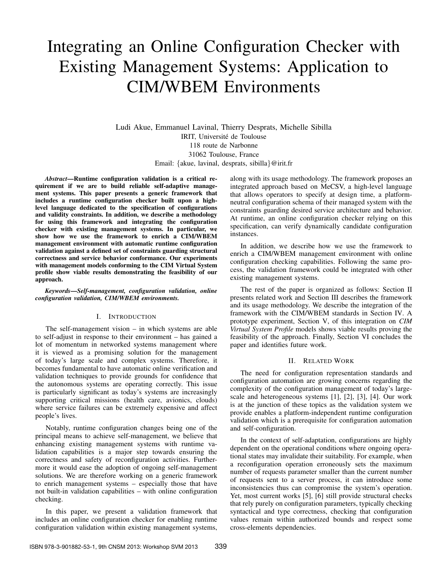# Integrating an Online Configuration Checker with Existing Management Systems: Application to CIM/WBEM Environments

Ludi Akue, Emmanuel Lavinal, Thierry Desprats, Michelle Sibilla IRIT, Université de Toulouse 118 route de Narbonne 31062 Toulouse, France Email: {akue, lavinal, desprats, sibilla}@irit.fr

*Abstract*—Runtime configuration validation is a critical requirement if we are to build reliable self-adaptive management systems. This paper presents a generic framework that includes a runtime configuration checker built upon a highlevel language dedicated to the specification of configurations and validity constraints. In addition, we describe a methodology for using this framework and integrating the configuration checker with existing management systems. In particular, we show how we use the framework to enrich a CIM/WBEM management environment with automatic runtime configuration validation against a defined set of constraints guarding structural correctness and service behavior conformance. Our experiments with management models conforming to the CIM Virtual System profile show viable results demonstrating the feasibility of our approach.

*Keywords*—*Self-management, configuration validation, online configuration validation, CIM/WBEM environments.*

#### I. INTRODUCTION

The self-management vision – in which systems are able to self-adjust in response to their environment – has gained a lot of momentum in networked systems management where it is viewed as a promising solution for the management of today's large scale and complex systems. Therefore, it becomes fundamental to have automatic online verification and validation techniques to provide grounds for confidence that the autonomous systems are operating correctly. This issue is particularly significant as today's systems are increasingly supporting critical missions (health care, avionics, clouds) where service failures can be extremely expensive and affect people's lives.

Notably, runtime configuration changes being one of the principal means to achieve self-management, we believe that enhancing existing management systems with runtime validation capabilities is a major step towards ensuring the correctness and safety of reconfiguration activities. Furthermore it would ease the adoption of ongoing self-management solutions. We are therefore working on a generic framework to enrich management systems – especially those that have not built-in validation capabilities – with online configuration checking.

In this paper, we present a validation framework that includes an online configuration checker for enabling runtime configuration validation within existing management systems, along with its usage methodology. The framework proposes an integrated approach based on MeCSV, a high-level language that allows operators to specify at design time, a platformneutral configuration schema of their managed system with the constraints guarding desired service architecture and behavior. At runtime, an online configuration checker relying on this specification, can verify dynamically candidate configuration instances.

In addition, we describe how we use the framework to enrich a CIM/WBEM management environment with online configuration checking capabilities. Following the same process, the validation framework could be integrated with other existing management systems.

The rest of the paper is organized as follows: Section II presents related work and Section III describes the framework and its usage methodology. We describe the integration of the framework with the CIM/WBEM standards in Section IV. A prototype experiment, Section V, of this integration on *CIM Virtual System Profile* models shows viable results proving the feasibility of the approach. Finally, Section VI concludes the paper and identifies future work.

#### II. RELATED WORK

The need for configuration representation standards and configuration automation are growing concerns regarding the complexity of the configuration management of today's largescale and heterogeneous systems [1], [2], [3], [4]. Our work is at the junction of these topics as the validation system we provide enables a platform-independent runtime configuration validation which is a prerequisite for configuration automation and self-configuration.

In the context of self-adaptation, configurations are highly dependent on the operational conditions where ongoing operational states may invalidate their suitability. For example, when a reconfiguration operation erroneously sets the maximum number of requests parameter smaller than the current number of requests sent to a server process, it can introduce some inconsistencies thus can compromise the system's operation. Yet, most current works [5], [6] still provide structural checks that rely purely on configuration parameters, typically checking syntactical and type correctness, checking that configuration values remain within authorized bounds and respect some cross-elements dependencies.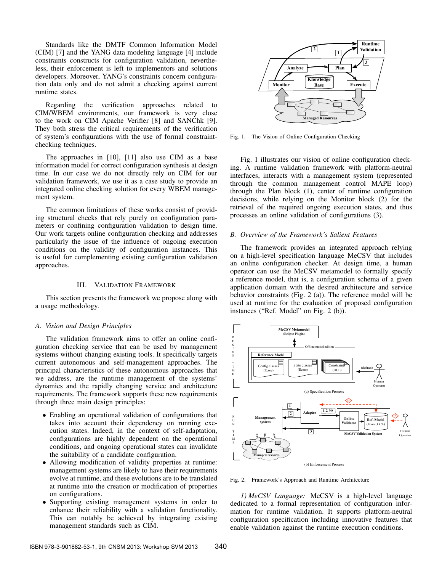Standards like the DMTF Common Information Model (CIM) [7] and the YANG data modeling language [4] include constraints constructs for configuration validation, nevertheless, their enforcement is left to implementors and solutions developers. Moreover, YANG's constraints concern configuration data only and do not admit a checking against current runtime states.

Regarding the verification approaches related to CIM/WBEM environments, our framework is very close to the work on CIM Apache Verifier [8] and SANChk [9]. They both stress the critical requirements of the verification of system's configurations with the use of formal constraintchecking techniques.

The approaches in [10], [11] also use CIM as a base information model for correct configuration synthesis at design time. In our case we do not directly rely on CIM for our validation framework, we use it as a case study to provide an integrated online checking solution for every WBEM management system.

The common limitations of these works consist of providing structural checks that rely purely on configuration parameters or confining configuration validation to design time. Our work targets online configuration checking and addresses particularly the issue of the influence of ongoing execution conditions on the validity of configuration instances. This is useful for complementing existing configuration validation approaches.

#### III. VALIDATION FRAMEWORK

This section presents the framework we propose along with a usage methodology.

#### *A. Vision and Design Principles*

The validation framework aims to offer an online configuration checking service that can be used by management systems without changing existing tools. It specifically targets current autonomous and self-management approaches. The principal characteristics of these autonomous approaches that we address, are the runtime management of the systems' dynamics and the rapidly changing service and architecture requirements. The framework supports these new requirements through three main design principles:

- Enabling an operational validation of configurations that takes into account their dependency on running execution states. Indeed, in the context of self-adaptation, configurations are highly dependent on the operational conditions, and ongoing operational states can invalidate the suitability of a candidate configuration.
- Allowing modification of validity properties at runtime: management systems are likely to have their requirements evolve at runtime, and these evolutions are to be translated at runtime into the creation or modification of properties on configurations.
- Supporting existing management systems in order to enhance their reliability with a validation functionality. This can notably be achieved by integrating existing management standards such as CIM.



Fig. 1. The Vision of Online Configuration Checking

Fig. 1 illustrates our vision of online configuration checking. A runtime validation framework with platform-neutral interfaces, interacts with a management system (represented through the common management control MAPE loop) through the Plan block (1), center of runtime configuration decisions, while relying on the Monitor block (2) for the retrieval of the required ongoing execution states, and thus processes an online validation of configurations (3).

#### *B. Overview of the Framework's Salient Features*

The framework provides an integrated approach relying on a high-level specification language MeCSV that includes an online configuration checker. At design time, a human operator can use the MeCSV metamodel to formally specify a reference model, that is, a configuration schema of a given application domain with the desired architecture and service behavior constraints (Fig. 2 (a)). The reference model will be used at runtime for the evaluation of proposed configuration instances ("Ref. Model" on Fig. 2 (b)).



Fig. 2. Framework's Approach and Runtime Architecture

*1) MeCSV Language:* MeCSV is a high-level language dedicated to a formal representation of configuration information for runtime validation. It supports platform-neutral configuration specification including innovative features that enable validation against the runtime execution conditions.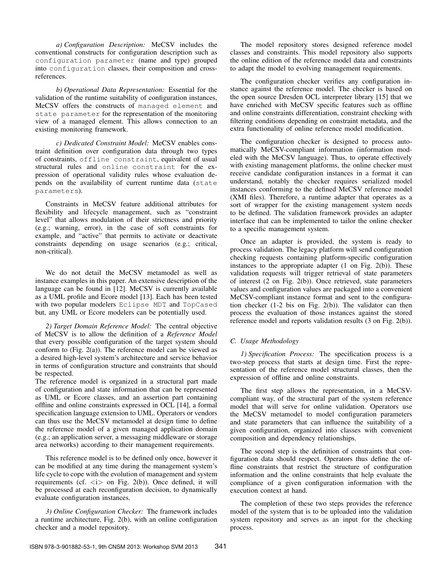*a) Configuration Description:* MeCSV includes the conventional constructs for configuration description such as configuration parameter (name and type) grouped into configuration classes, their composition and crossreferences.

*b) Operational Data Representation:* Essential for the validation of the runtime suitability of configuration instances, MeCSV offers the constructs of managed element and state parameter for the representation of the monitoring view of a managed element. This allows connection to an existing monitoring framework.

*c) Dedicated Constraint Model:* MeCSV enables constraint definition over configuration data through two types of constraints, offline constraint, equivalent of usual structural rules and online constraint for the expression of operational validity rules whose evaluation depends on the availability of current runtime data (state parameters).

Constraints in MeCSV feature additional attributes for flexibility and lifecycle management, such as "constraint level" that allows modulation of their strictness and priority (e.g.; warning, error), in the case of soft constraints for example, and "active" that permits to activate or deactivate constraints depending on usage scenarios (e.g.; critical, non-critical).

We do not detail the MeCSV metamodel as well as instance examples in this paper. An extensive description of the language can be found in [12]. MeCSV is currently available as a UML profile and Ecore model [13]. Each has been tested with two popular modelers Eclipse MDT and TopCased but, any UML or Ecore modelers can be potentially used.

*2) Target Domain Reference Model:* The central objective of MeCSV is to allow the definition of a *Reference Model* that every possible configuration of the target system should conform to  $(Fig. 2(a))$ . The reference model can be viewed as a desired high-level system's architecture and service behavior in terms of configuration structure and constraints that should be respected.

The reference model is organized in a structural part made of configuration and state information that can be represented as UML or Ecore classes, and an assertion part containing offline and online constraints expressed in OCL [14], a formal specification language extension to UML. Operators or vendors can thus use the MeCSV metamodel at design time to define the reference model of a given managed application domain (e.g.; an application server, a messaging middleware or storage area networks) according to their management requirements.

This reference model is to be defined only once, however it can be modified at any time during the management system's life cycle to cope with the evolution of management and system requirements (cf.  $\langle i \rangle$  on Fig. 2(b)). Once defined, it will be processed at each reconfiguration decision, to dynamically evaluate configuration instances.

*3) Online Configuration Checker:* The framework includes a runtime architecture, Fig. 2(b), with an online configuration checker and a model repository.

The model repository stores designed reference model classes and constraints. This model repository also supports the online edition of the reference model data and constraints to adapt the model to evolving management requirements.

The configuration checker verifies any configuration instance against the reference model. The checker is based on the open source Dresden OCL interpreter library [15] that we have enriched with MeCSV specific features such as offline and online constraints differentiation, constraint checking with filtering conditions depending on constraint metadata, and the extra functionality of online reference model modification.

The configuration checker is designed to process automatically MeCSV-compliant information (information modeled with the MeCSV language). Thus, to operate effectively with existing management platforms, the online checker must receive candidate configuration instances in a format it can understand, notably the checker requires serialized model instances conforming to the defined MeCSV reference model (XMI files). Therefore, a runtime adapter that operates as a sort of wrapper for the existing management system needs to be defined. The validation framework provides an adapter interface that can be implemented to tailor the online checker to a specific management system.

Once an adapter is provided, the system is ready to process validation. The legacy platform will send configuration checking requests containing platform-specific configuration instances to the appropriate adapter (1 on Fig. 2(b)). These validation requests will trigger retrieval of state parameters of interest (2 on Fig. 2(b)). Once retrieved, state parameters values and configuration values are packaged into a convenient MeCSV-compliant instance format and sent to the configuration checker (1-2 bis on Fig. 2(b)). The validator can then process the evaluation of those instances against the stored reference model and reports validation results (3 on Fig. 2(b)).

# *C. Usage Methodology*

*1) Specification Process:* The specification process is a two-step process that starts at design time. First the representation of the reference model structural classes, then the expression of offline and online constraints.

The first step allows the representation, in a MeCSVcompliant way, of the structural part of the system reference model that will serve for online validation. Operators use the MeCSV metamodel to model configuration parameters and state parameters that can influence the suitability of a given configuration, organized into classes with convenient composition and dependency relationships.

The second step is the definition of constraints that configuration data should respect. Operators thus define the offline constraints that restrict the structure of configuration information and the online constraints that help evaluate the compliance of a given configuration information with the execution context at hand.

The completion of these two steps provides the reference model of the system that is to be uploaded into the validation system repository and serves as an input for the checking process.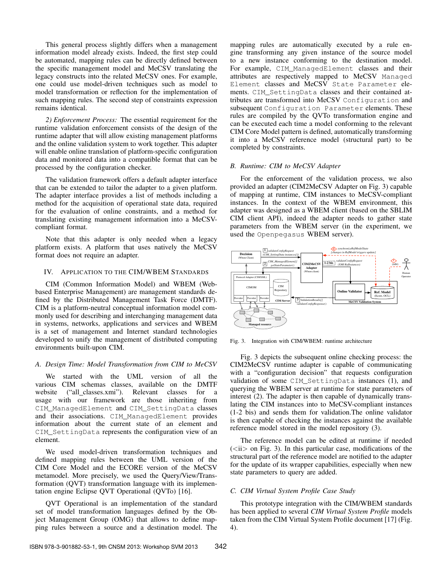This general process slightly differs when a management information model already exists. Indeed, the first step could be automated, mapping rules can be directly defined between the specific management model and MeCSV translating the legacy constructs into the related MeCSV ones. For example, one could use model-driven techniques such as model to model transformation or reflection for the implementation of such mapping rules. The second step of constraints expression remains identical.

*2) Enforcement Process:* The essential requirement for the runtime validation enforcement consists of the design of the runtime adapter that will allow existing management platforms and the online validation system to work together. This adapter will enable online translation of platform-specific configuration data and monitored data into a compatible format that can be processed by the configuration checker.

The validation framework offers a default adapter interface that can be extended to tailor the adapter to a given platform. The adapter interface provides a list of methods including a method for the acquisition of operational state data, required for the evaluation of online constraints, and a method for translating existing management information into a MeCSVcompliant format.

Note that this adapter is only needed when a legacy platform exists. A platform that uses natively the MeCSV format does not require an adapter.

#### IV. APPLICATION TO THE CIM/WBEM STANDARDS

CIM (Common Information Model) and WBEM (Webbased Enterprise Management) are management standards defined by the Distributed Management Task Force (DMTF). CIM is a platform-neutral conceptual information model commonly used for describing and interchanging management data in systems, networks, applications and services and WBEM is a set of management and Internet standard technologies developed to unify the management of distributed computing environments built-upon CIM.

#### *A. Design Time: Model Transformation from CIM to MeCSV*

We started with the UML version of all the various CIM schemas classes, available on the DMTF website ("all classes.xmi"). Relevant classes for a usage with our framework are those inheriting from CIM\_ManagedElement and CIM\_SettingData classes and their associations. CIM\_ManagedElement provides information about the current state of an element and CIM\_SettingData represents the configuration view of an element.

We used model-driven transformation techniques and defined mapping rules between the UML version of the CIM Core Model and the ECORE version of the MeCSV metamodel. More precisely, we used the Query/View/Transformation (QVT) transformation language with its implementation engine Eclipse QVT Operational (QVTo) [16].

QVT Operational is an implementation of the standard set of model transformation languages defined by the Object Management Group (OMG) that allows to define mapping rules between a source and a destination model. The mapping rules are automatically executed by a rule engine transforming any given instance of the source model to a new instance conforming to the destination model. For example, CIM\_ManagedElement classes and their attributes are respectively mapped to MeCSV Managed Element classes and MeCSV State Parameter elements. CIM\_SettingData classes and their contained attributes are transformed into MeCSV Configuration and subsequent Configuration Parameter elements. These rules are compiled by the QVTo transformation engine and can be executed each time a model conforming to the relevant CIM Core Model pattern is defined, automatically transforming it into a MeCSV reference model (structural part) to be completed by constraints.

## *B. Runtime: CIM to MeCSV Adapter*

For the enforcement of the validation process, we also provided an adapter (CIM2MeCSV Adapter on Fig. 3) capable of mapping at runtime, CIM instances to MeCSV-compliant instances. In the context of the WBEM environment, this adapter was designed as a WBEM client (based on the SBLIM CIM client API), indeed the adapter needs to gather state parameters from the WBEM server (in the experiment, we used the Openpegasus WBEM server).



Fig. 3. Integration with CIM/WBEM: runtime architecture

Fig. 3 depicts the subsequent online checking process: the CIM2MeCSV runtime adapter is capable of communicating with a "configuration decision" that requests configuration validation of some CIM\_SettingData instances (1), and querying the WBEM server at runtime for state parameters of interest (2). The adapter is then capable of dynamically translating the CIM instances into to MeCSV-compliant instances (1-2 bis) and sends them for validation.The online validator is then capable of checking the instances against the available reference model stored in the model repository (3).

The reference model can be edited at runtime if needed  $(*i* > on Fig. 3)$ . In this particular case, modifications of the structural part of the reference model are notified to the adapter for the update of its wrapper capabilities, especially when new state parameters to query are added.

# *C. CIM Virtual System Profile Case Study*

This prototype integration with the CIM/WBEM standards has been applied to several *CIM Virtual System Profile* models taken from the CIM Virtual System Profile document [17] (Fig. 4).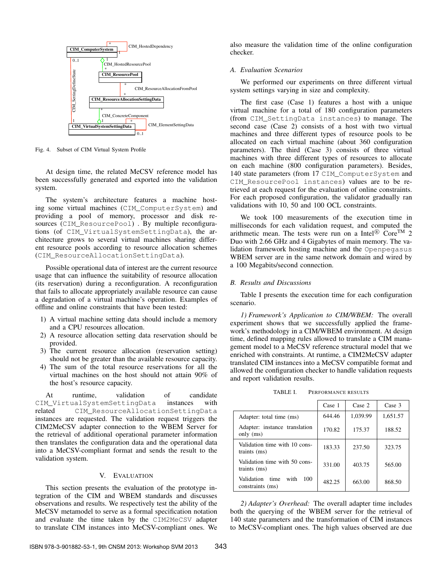

Fig. 4. Subset of CIM Virtual System Profile

At design time, the related MeCSV reference model has been successfully generated and exported into the validation system.

The system's architecture features a machine hosting some virtual machines (CIM\_ComputerSystem) and providing a pool of memory, processor and disk resources (CIM\_ResourcePool) . By multiple reconfigurations (of CIM\_VirtualSystemSettingData), the architecture grows to several virtual machines sharing different resource pools according to resource allocation schemes (CIM\_ResourceAllocationSettingData).

Possible operational data of interest are the current resource usage that can influence the suitability of resource allocation (its reservation) during a reconfiguration. A reconfiguration that fails to allocate appropriately available resource can cause a degradation of a virtual machine's operation. Examples of offline and online constraints that have been tested:

- 1) A virtual machine setting data should include a memory and a CPU resources allocation.
- 2) A resource allocation setting data reservation should be provided.
- 3) The current resource allocation (reservation setting) should not be greater than the available resource capacity.
- 4) The sum of the total resource reservations for all the virtual machines on the host should not attain 90% of the host's resource capacity.

At runtime, validation of candidate CIM\_VirtualSystemSettingData instances with related CIM ResourceAllocationSettingData instances are requested. The validation request triggers the CIM2MeCSV adapter connection to the WBEM Server for the retrieval of additional operational parameter information then translates the configuration data and the operational data into a MeCSV-compliant format and sends the result to the validation system.

## V. EVALUATION

This section presents the evaluation of the prototype integration of the CIM and WBEM standards and discusses observations and results. We respectively test the ability of the MeCSV metamodel to serve as a formal specification notation and evaluate the time taken by the CIM2MeCSV adapter to translate CIM instances into MeCSV-compliant ones. We also measure the validation time of the online configuration checker.

## *A. Evaluation Scenarios*

We performed our experiments on three different virtual system settings varying in size and complexity.

The first case (Case 1) features a host with a unique virtual machine for a total of 180 configuration parameters (from CIM\_SettingData instances) to manage. The second case (Case 2) consists of a host with two virtual machines and three different types of resource pools to be allocated on each virtual machine (about 360 configuration parameters). The third (Case 3) consists of three virtual machines with three different types of resources to allocate on each machine (800 configuration parameters). Besides, 140 state parameters (from 17 CIM\_ComputerSystem and CIM\_ResourcePool instances) values are to be retrieved at each request for the evaluation of online constraints. For each proposed configuration, the validator gradually ran validations with 10, 50 and 100 OCL constraints.

We took 100 measurements of the execution time in milliseconds for each validation request, and computed the arithmetic mean. The tests were run on a Intel<sup>®</sup> Core<sup>TM</sup> 2 Duo with 2.66 GHz and 4 Gigabytes of main memory. The validation framework hosting machine and the Openpegasus WBEM server are in the same network domain and wired by a 100 Megabits/second connection.

## *B. Results and Discussions*

Table I presents the execution time for each configuration scenario.

*1) Framework's Application to CIM/WBEM:* The overall experiment shows that we successfully applied the framework's methodology in a CIM/WBEM environment. At design time, defined mapping rules allowed to translate a CIM management model to a MeCSV reference structural model that we enriched with constraints. At runtime, a CIM2MeCSV adapter translated CIM instances into a MeCSV compatible format and allowed the configuration checker to handle validation requests and report validation results.

TABLE I. PERFORMANCE RESULTS

|                                                       | Case 1 | Case 2   | Case 3   |
|-------------------------------------------------------|--------|----------|----------|
| Adapter: total time (ms)                              | 644.46 | 1,039.99 | 1,651.57 |
| Adapter: instance translation<br>only $(ms)$          | 170.82 | 175.37   | 188.52   |
| Validation time with 10 cons-<br>traints (ms)         | 183.33 | 237.50   | 323.75   |
| Validation time with 50 cons-<br>traints (ms)         | 331.00 | 403.75   | 565.00   |
| Validation<br>with<br>time<br>100<br>constraints (ms) | 482.25 | 663.00   | 868.50   |

*2) Adapter's Overhead:* The overall adapter time includes both the querying of the WBEM server for the retrieval of 140 state parameters and the transformation of CIM instances to MeCSV-compliant ones. The high values observed are due